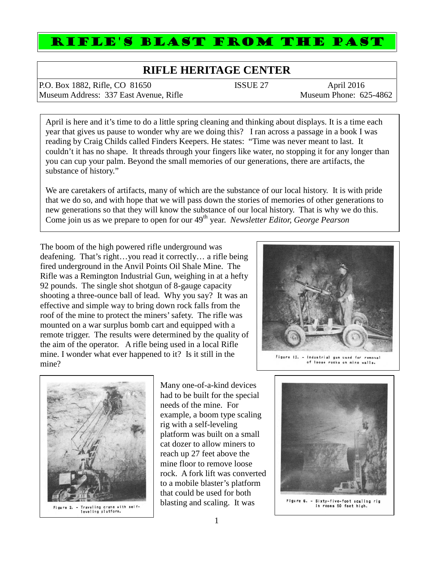## RIFLE'S BLAST FROM THE PAST

## **RIFLE HERITAGE CENTER**

P.O. Box 1882, Rifle, CO 81650 ISSUE 27 April 2016<br>
Museum Address: 337 East Avenue. Rifle Museum Phone: 625-4862 Museum Address: 337 East Avenue, Rifle

April is here and it's time to do a little spring cleaning and thinking about displays. It is a time each year that gives us pause to wonder why are we doing this? I ran across a passage in a book I was reading by Craig Childs called Finders Keepers. He states: "Time was never meant to last. It couldn't it has no shape. It threads through your fingers like water, no stopping it for any longer than you can cup your palm. Beyond the small memories of our generations, there are artifacts, the substance of history."

We are caretakers of artifacts, many of which are the substance of our local history. It is with pride that we do so, and with hope that we will pass down the stories of memories of other generations to new generations so that they will know the substance of our local history. That is why we do this. Come join us as we prepare to open for our 49th year. *Newsletter Editor, George Pearson*

The boom of the high powered rifle underground was deafening. That's right…you read it correctly… a rifle being fired underground in the Anvil Points Oil Shale Mine. The Rifle was a Remington Industrial Gun, weighing in at a hefty 92 pounds. The single shot shotgun of 8-gauge capacity shooting a three-ounce ball of lead. Why you say? It was an effective and simple way to bring down rock falls from the roof of the mine to protect the miners' safety. The rifle was mounted on a war surplus bomb cart and equipped with a remote trigger. The results were determined by the quality of the aim of the operator. A rifle being used in a local Rifle mine. I wonder what ever happened to it? Is it still in the mine?



Industrial gun used for removal of loose rocks on mine walls.



Many one-of-a-kind devices had to be built for the special needs of the mine. For example, a boom type scaling rig with a self-leveling platform was built on a small cat dozer to allow miners to reach up 27 feet above the mine floor to remove loose rock. A fork lift was converted to a mobile blaster's platform that could be used for both blasting and scaling. It was



- Sixty-five-foot scaling<br>In rooms 50 feet high. Flaure 6.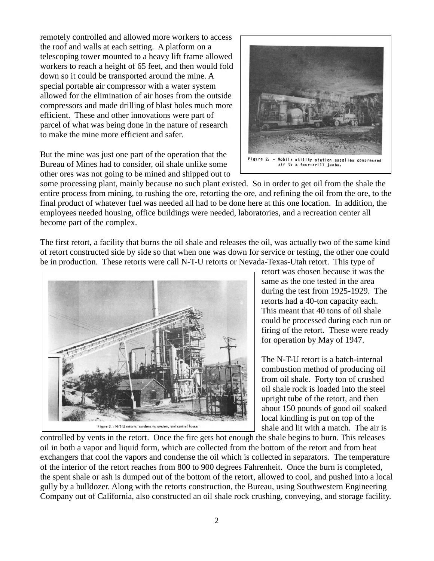remotely controlled and allowed more workers to access the roof and walls at each setting. A platform on a telescoping tower mounted to a heavy lift frame allowed workers to reach a height of 65 feet, and then would fold down so it could be transported around the mine. A special portable air compressor with a water system allowed for the elimination of air hoses from the outside compressors and made drilling of blast holes much more efficient. These and other innovations were part of parcel of what was being done in the nature of research to make the mine more efficient and safer.

But the mine was just one part of the operation that the Bureau of Mines had to consider, oil shale unlike some other ores was not going to be mined and shipped out to



some processing plant, mainly because no such plant existed. So in order to get oil from the shale the entire process from mining, to rushing the ore, retorting the ore, and refining the oil from the ore, to the final product of whatever fuel was needed all had to be done here at this one location. In addition, the employees needed housing, office buildings were needed, laboratories, and a recreation center all become part of the complex.

The first retort, a facility that burns the oil shale and releases the oil, was actually two of the same kind of retort constructed side by side so that when one was down for service or testing, the other one could be in production. These retorts were call N-T-U retorts or Nevada-Texas-Utah retort. This type of



retort was chosen because it was the same as the one tested in the area during the test from 1925-1929. The retorts had a 40-ton capacity each. This meant that 40 tons of oil shale could be processed during each run or firing of the retort. These were ready for operation by May of 1947.

The N-T-U retort is a batch-internal combustion method of producing oil from oil shale. Forty ton of crushed oil shale rock is loaded into the steel upright tube of the retort, and then about 150 pounds of good oil soaked local kindling is put on top of the shale and lit with a match. The air is

controlled by vents in the retort. Once the fire gets hot enough the shale begins to burn. This releases oil in both a vapor and liquid form, which are collected from the bottom of the retort and from heat exchangers that cool the vapors and condense the oil which is collected in separators. The temperature of the interior of the retort reaches from 800 to 900 degrees Fahrenheit. Once the burn is completed, the spent shale or ash is dumped out of the bottom of the retort, allowed to cool, and pushed into a local gully by a bulldozer. Along with the retorts construction, the Bureau, using Southwestern Engineering Company out of California, also constructed an oil shale rock crushing, conveying, and storage facility.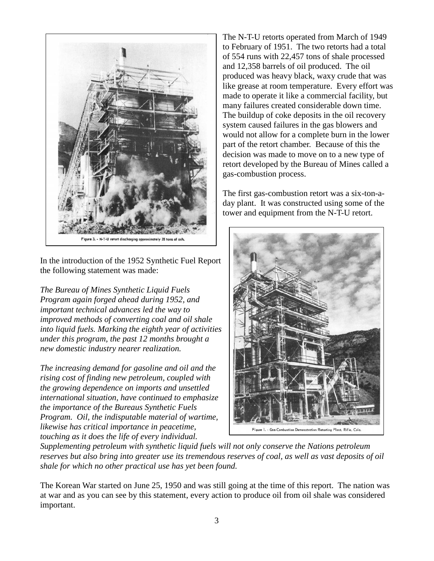

In the introduction of the 1952 Synthetic Fuel Report the following statement was made:

*The Bureau of Mines Synthetic Liquid Fuels Program again forged ahead during 1952, and important technical advances led the way to improved methods of converting coal and oil shale into liquid fuels. Marking the eighth year of activities under this program, the past 12 months brought a new domestic industry nearer realization.*

*The increasing demand for gasoline and oil and the rising cost of finding new petroleum, coupled with the growing dependence on imports and unsettled international situation, have continued to emphasize the importance of the Bureaus Synthetic Fuels Program. Oil, the indisputable material of wartime, likewise has critical importance in peacetime, touching as it does the life of every individual.*

The N-T-U retorts operated from March of 1949 to February of 1951. The two retorts had a total of 554 runs with 22,457 tons of shale processed and 12,358 barrels of oil produced. The oil produced was heavy black, waxy crude that was like grease at room temperature. Every effort was made to operate it like a commercial facility, but many failures created considerable down time. The buildup of coke deposits in the oil recovery system caused failures in the gas blowers and would not allow for a complete burn in the lower part of the retort chamber. Because of this the decision was made to move on to a new type of retort developed by the Bureau of Mines called a gas-combustion process.

The first gas-combustion retort was a six-ton-a day plant. It was constructed using some of the tower and equipment from the N-T-U retort.



*Supplementing petroleum with synthetic liquid fuels will not only conserve the Nations petroleum reserves but also bring into greater use its tremendous reserves of coal, as well as vast deposits of oil shale for which no other practical use has yet been found.*

The Korean War started on June 25, 1950 and was still going at the time of this report. The nation was at war and as you can see by this statement, every action to produce oil from oil shale was considered important.